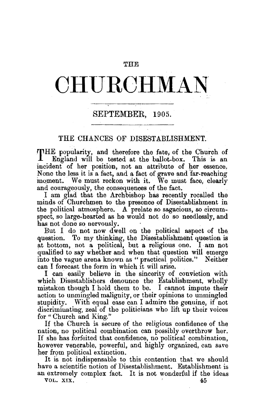#### THE

# **CHURCHMAN-**

## SEPTEMBER, 1905.

## THE CHANCES OF DISESTABLISHMENT.

THE popularity, and therefore the fate; of the Church of England will be tested at the ballot-box. This is an incident of her position, not an attribute of her essence. None the less it is a fact, and a fact of grave and far-reaching moment. We must reckon with it. We must face, clearly and courageously, the consequences of the fact.

I am glad that the Archbishop has recently recalled the minds of Churchmen to the presence of Disestablishment in the political atmosphere. A prelate so sagacious, so circum spect, so large-hearted as he would not do so needlessly, and has not done so nervously.

But I do not now dwell on the political aspect of the. question. To my thinking, the Disestablishment question is at bottom, not a political, but a religious one. I am not qualified to say whether and when that question will emerge into the vague arena known as "practical politics." Neither can I forecast the form in which it will arise.

I can easily believe in the sincerity of conviction with which Disestablishers denounce the Establishment, wholly mistaken though I hold them to be. I cannot impute their action to unmingled malignity, or their opinions to unmingled stupidity. With equal ease can I admire the genuine, if not discriminating, zeal of the politicians who lift up their voices for "Church and King."

If the Church is secure of the religious confidence of the nation, no political combination can possibly overthrow her. If she has forfeited that confidence, no political combination, however venerable, powerful, and highly organized, can save her from political extinction.

It is not indispensable to this contention that we should have a scientific notion of Disestablishment. Establishment is an extremely complex fact. It is not wonderful if the ideas

VOL. XIX. 45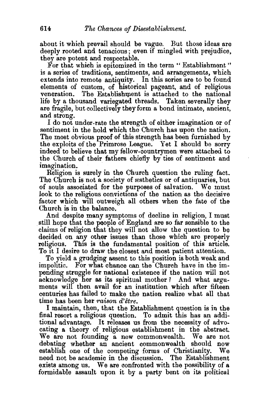about it which prevail should be vague. But those ideas are deeply rooted and tenacious; even if mingled with prejudice, they are potent and respectable.

For that which is epitomized in the term " Establishment" is a series of traditions, sentiments, and arrangements, which extends into remote antiquity. In this series are to be found elements of custom, of historical pageant, and of religious veneration. The Establishment is attached to the national life by a thousand variegated threads. Taken severally they are fragile, but collectively they form a bond intimate, ancient, and strong.

I do not under-rate the strength of either imagination or of sentiment in the hold which the Church has upon the nation. The most obvious proof of this strength has been furnished by the exploits of the Primrose League. Yet I should be sorry indeed to believe that my fellow-countrymen were attached to the Church of their fathers chiefly by ties of sentiment and imagination.

Religion is surely in the Church question the ruling fact. The Church is not a society of esthetics or of antiquaries, but of souls associated for the purposes of salvation. We must look to the religious convictions of the nation as the decisive factor which will outweigh all others when the fate of the

Church is in the balance.<br>And despite many symptoms of decline in religion, I must atill hope that the people of England are so far sensible to the claims of religion that they will not allow the question to be decided on any other issues than those which are properly religious. This is the fundamental position of this article. To It I desire to draw the closest and most patient attention.

To yield a grudging assent to this position is both weak and impolitic. For what chance can the Church have in the impending struggle for national existence if the nation will not acknowledge her as its spiritual mother? And what arguments will then avail for an institution which after fifteen centuries has failed to make the nation realize what all that time has been her *raison d'être*.

I maintain, then, that the Establishment question is in the final resort a religious question. To admit this has an additional advantage. It releases us from the necessity of advocating a theory of religious establishment in the abstract. We are not founding a new commonwealth. We are not debating whether an ancient commonwealth should now<br>establish one of the competing forms of Christianity. We establish one of the competing forms of Christianity. need not be academic in the discussion. The Establishment exists among us. We are confronted with the possibility of a formidable assault upon it by a party bent on its political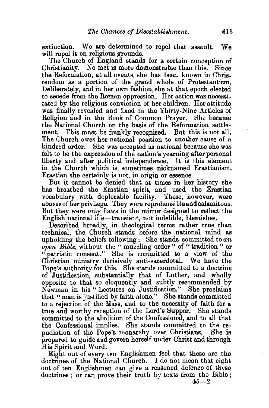extinction. We are determined to repel that assault. We will repel it on religious grounds.

The Church of England stands for a certain conception of Christianity. No fact is more demonstrable than this. Since the Reformation, at all events, she has been known in Christendom as a portion of the grand whole of Protestantism. Deliberately, and in her own fashion, she at that epoch elected to secede from the Roman oppression. Her action was necessitated by the religious conviction of her children. Her attitude was finally revealed and fixed in the Thirty-Nine Articles of Religion and in the Book of Common Prayer. She became the National Church on the basis of the Reformation settlement. This must be frankly recognised. But this is not all. The Church owes her national position to another cause of a kindred order. She was accepted as national because she was felt to be the expression of the nation's yearning after personal liberty and after political independence. It is this element in the Church which is sometimes nicknamed Erastianism. Erastian she certainly is not, in origin or essence.

But it cannot be denied that at times in her history she has breathed the Erastian spirit, and used the Erastian vocabulary with deplorable facility. These, however, were abuses of her privilege. They were reprehensible and calamitous. But they were only flaws in the mirror designed to reflect the English national life-transient, not indelible, blemishes.

Described broadly, in theological terms rather true than technical, the Church stands before the national mind as upholding the beliefs following : She stands committed to *an open Bible,* without the " muzzling order " of "tradition " or " patristic consent." She is committed to a view of the Christian ministry decisively anti-sacerdotal. We have the Pope's authority for this. She stands committed to a doctrine of Justification, substantially that of Luther, and wholly opposite to that so eloquently and subtly recommended by Newman in his" Lectures on Justification." She proclaims that "man is justified by faith alone." She stands committed to a rejection of the Mass, and to the necessity of faith for a true and worthy reception of the Lord's Supper. She stands committed to the abolition of the Confessional, and to all that the Confessional implies. She stands committed to the repudiation of the Pope's monarchy over Christians. She is prepared to guide and govern herself under Christ and through His Spirit and Word.

Eight out of every ten Englishmen feel that these are the doctrines of the National Church. I do not mean that eight out of ten Englishmen can give a reasoned defence of these doctrines ; or can prove their truth by texts from the Bible ;

 $45 - 2$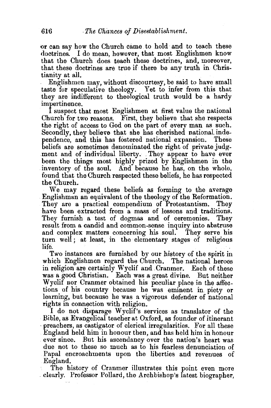or can say how the Church came to hold and to teach these doctrines. I do mean, however, that most Englishmen know that the Church does teach these doctrines, and, moreover, that these doctrines are true if there be any truth in Christianity at all.

Englishmen may, without discourtesy, be said to have small taste for speculative theology. Yet to infer from this that they are indifferent to theological truth would be a hardy impertinence.

I suspect that most Englishmen at first value the national Church for two reasons. First, they believe that she respects the right of access to God on the part of every man as such. Secondly, they believe that she has cherished national independence, and this has fostered national expansion. These beliefs are sometimes denominated the right of private judgment and of individual liberty. They appear to have ever been the things most highly prized by Englishmen in the inventory of the soul. And because he has, on the whole, found that the Church respected these beliefs, he has respected the Church.

We may regard these beliefs as forming to the average Englishman an equivalent of the theology of the Reformation. They are a practical compendium of Protestantism. They have been extracted from a mass of lessons and traditions. They furnish a test of dogmas and of ceremonies. They result from a candid and common-sense inquiry into abstruse and complex matters concerning his soul. They serve his turn well; at least, in the elementary stages of religious life.

Two instances are furnished by our history of the spirit in which Englishmen regard the Church. The national heroes in religion are certainly Wyclif and .Cranmer. Each of these was a good Christian. Each was a great divine. But neither Wyclif nor Cranmer obtained his peculiar place in the affections of his country because he was eminent in piety or learning, but because he was a vigorous defender of national rights in connection with religion.

I do not disparage W yclif's services as translator of the Bible, as Evangelical teacher at Oxford, as founder of itinerant preachers, as castigator of clerical irregularities. For all these England held him in honour then, and has held him in honour ever since. But his ascendancy over the nation's heart was due not to these so much as to his fearless denunciation of Papal encroachments upon the liberties and revenues of

England.<br>The history of Cranmer illustrates this point even more clearly. Professor Pollard, the Archbishop's latest biographer,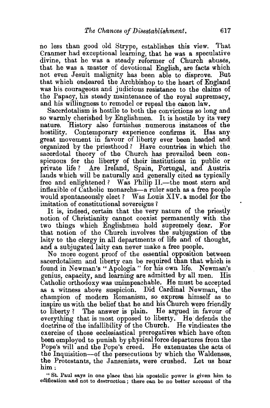no less than good old Strype, establishes this view. That Cranmer had exceptional learning, that he was a speculative divine, that he was a steady reformer of Church abuses, that he was a master of devotional English, are facts which not even Jesuit malignity has been able to disprove. But that which endeared the Archbishop to the heart of England was his courageous and judicious resistance to the claims of the Papacy, his steady maintenance of the royal supremacy, and his willingness to remodel or repeal the canon law.

Sacerdotalism is hostile to both the convictions so long and so warm]y cherished by Englishmen. It is hostile by its very nature. History also furnishes numerous instances of the hostility. Contemporary experience confirms it. Has any great movement in favour of liberty ever been headed and organized by the priesthood? Have countries in which the sacerdotal theory of the Church has prevailed been conspicuous for the liberty of their institutions in public or private life? Are Ireland, Spain, Portugal, and Austria lands which will be naturally and generally cited as typically free and enlightened? Was Philip II.—the most stern and inflexible of Catholic monarchs-a ruler such as a free people would spontaneously elect? Was Louis *XIV.* a model for the imitation of constitutional sovereigns?

It is, indeed, certain that the very nature of the priestly notion of Christianity cannot coexist permanently with the two things which Englishmen hold supremely dear. For that notion of the Church involves the subjugation of the laity to the clergy in all departments of life and of thought, and a subjugated laity can never make a free people.

No more cogent proof of the essential opposition between sacerdotalism and liberty can be required than that which is found in Newman's "Apologia" for his own life. Newman's genius, capacity, and learning are admitted by all men,. His Catholic orthodoxy was unimpeachable. He must be accepted as a witness above suspicion. Did Cardinal Newman, the champion of modern Romanism, so express himself as . to inspire us with the belief that he and his Church were friendly to liberty? The answer is plain. He argued in favour of everything that is most opposed to liberty. He defends the doctrine of the infallibility of the Church. He vindicates the exercise of those ecclesiastical prerogatives which have often been employed to punish by physical force departures from the Pope's will and the Pope's creed. He extenuates the acts oi the Inquisition—of the persecutions by which the Waldenses, the Protestants, the Jansenists, were crushed. Let us hear him $\pm$ 

" St. Paul says in one place that his apostolic power is given him to edification and not to destruction ; there can be no better account of the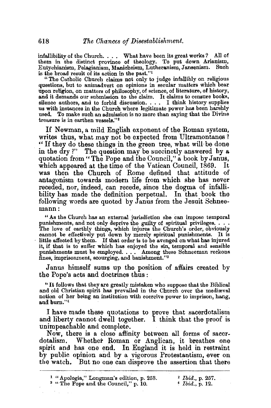infallibility of the Church.  $\ldots$ . What have been its great works? All of them in the distinct province of theology. To put down Arianism, Eutychianism, Pelagianism, Manicheism, Lutheranism, Jansenism. Such is the broad result of its action in the past."1

"The Catholic Church claims not only to judge infallibly on religious questions, but to animadvert on opinions in secular matters which bear upon religion, on matters of philosophy, of science, of literature, of history, and it demands our submission to the claim. It claims to censure books, silence authors, and to forbid discussion. . . . I think history supplies us with instances in the Church where legitimate power has been harshly used. To make such an admission is no more than saying that the Divine treasure is in earthen vessels."<sup>2</sup>

If Newman, a mild English exponent of the Roman system, writes thus, what may not be expected from Ultramontanes ? "If they do these things in the green tree, what will be done in the dry?" The question may be succinctly answered by a quotation from" The Pope and the Council," a book by Janus, which appeared at the time of the Vatican Council, 1869. It was then the Church of Rome defined that attitude of antagonism towards modern life from which she has never receded, nor, indeed, can recede, since the dogma of infallibility has made the definition perpetual. In that book the following words are quoted by Janus from the Jesuit Schneemann:

" As the Church has an external jurisdiction she can impose temporal punishments, and not only deprive the guilty of spiritual privileges.  $\ldots$ The love of earthly things, which injures the Church's order, obviously cannot be effectively put down by merely spiritual punishments. It is little affected by them. If that order is to be avenged on what has injured it, if that is to suffer which has enjoyed the sin, temporal and sensible punishments must be employed. . • • Among these Schneeman reckons fines, imprisonment, scourging, and banishment."3

Janus himself sums up the position of affairs created by the Pope's acts and doctrines thus:

" It follows that they are greatly mistaken who suppose that the Biblical and old Christian spirit has prevailed in the Church over the medieval notion of her being an institution with coercive power to imprison, hang, and burn."4

I have made these quotations to prove that sacerdotalism and liberty cannot dwell together. I think that the proof is unimpeachable and complete.

Now, there is a close affinity between all forms of sacer~ dotalism. Whether Roman or Anglican, it breathes one spirit and has one end. In England it is held in restraint by public opinion and by a vigorous Protestantism, ever on the watch. But no one can disprove the assertion that there

| <sup>1</sup> "Apologia," Longman's edition, p. 253. | $2$ <i>Ibid.</i> , p. 257.         |
|-----------------------------------------------------|------------------------------------|
| <sup>3</sup> "The Pope and the Council," p. 10.     | $\frac{4}{3}$ <i>Ibid., p.</i> 12. |

 $\sim$